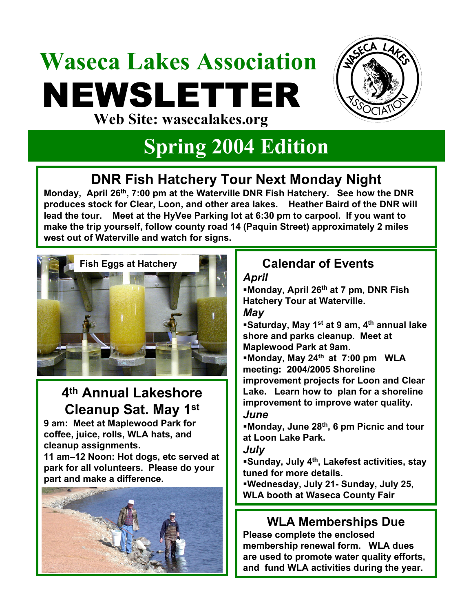# **Waseca Lakes Association** NEWSLETTER **Web Site: wasecalakes.org**



# **Spring 2004 Edition**

## **DNR Fish Hatchery Tour Next Monday Night**

**Monday, April 26th, 7:00 pm at the Waterville DNR Fish Hatchery. See how the DNR produces stock for Clear, Loon, and other area lakes. Heather Baird of the DNR will lead the tour. Meet at the HyVee Parking lot at 6:30 pm to carpool. If you want to make the trip yourself, follow county road 14 (Paquin Street) approximately 2 miles west out of Waterville and watch for signs.**



### **4th Annual Lakeshore Cleanup Sat. May 1st**

**9 am: Meet at Maplewood Park for coffee, juice, rolls, WLA hats, and cleanup assignments.** 

**11 am–12 Noon: Hot dogs, etc served at park for all volunteers. Please do your part and make a difference.**



## **Calendar of Events**

#### *April*

**Monday, April 26th at 7 pm, DNR Fish Hatchery Tour at Waterville.** *May*

**Saturday, May 1st at 9 am, 4th annual lake shore and parks cleanup. Meet at Maplewood Park at 9am.** 

**Monday, May 24th at 7:00 pm WLA meeting: 2004/2005 Shoreline improvement projects for Loon and Clear Lake. Learn how to plan for a shoreline** 

**improvement to improve water quality.**

#### *June*

**Monday, June 28th, 6 pm Picnic and tour at Loon Lake Park.**

#### *July*

**Sunday, July 4th, Lakefest activities, stay tuned for more details.**

**Wednesday, July 21- Sunday, July 25, WLA booth at Waseca County Fair** 

### **WLA Memberships Due**

**Please complete the enclosed membership renewal form. WLA dues are used to promote water quality efforts, and fund WLA activities during the year.**